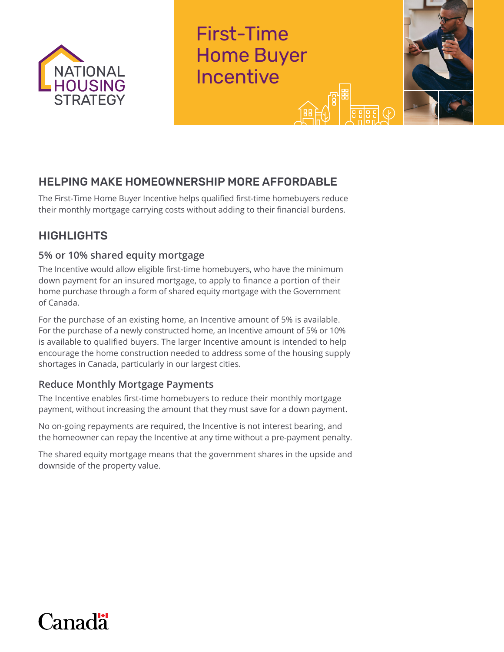

First-Time Home Buyer Incentive



# HELPING MAKE HOMEOWNERSHIP MORE AFFORDABLE

The First-Time Home Buyer Incentive helps qualified first-time homebuyers reduce their monthly mortgage carrying costs without adding to their financial burdens.

# **HIGHLIGHTS**

## **5% or 10% shared equity mortgage**

The Incentive would allow eligible first-time homebuyers, who have the minimum down payment for an insured mortgage, to apply to finance a portion of their home purchase through a form of shared equity mortgage with the Government of Canada.

For the purchase of an existing home, an Incentive amount of 5% is available. For the purchase of a newly constructed home, an Incentive amount of 5% or 10% is available to qualified buyers. The larger Incentive amount is intended to help encourage the home construction needed to address some of the housing supply shortages in Canada, particularly in our largest cities.

## **Reduce Monthly Mortgage Payments**

The Incentive enables first-time homebuyers to reduce their monthly mortgage payment, without increasing the amount that they must save for a down payment.

No on-going repayments are required, the Incentive is not interest bearing, and the homeowner can repay the Incentive at any time without a pre-payment penalty.

The shared equity mortgage means that the government shares in the upside and downside of the property value.

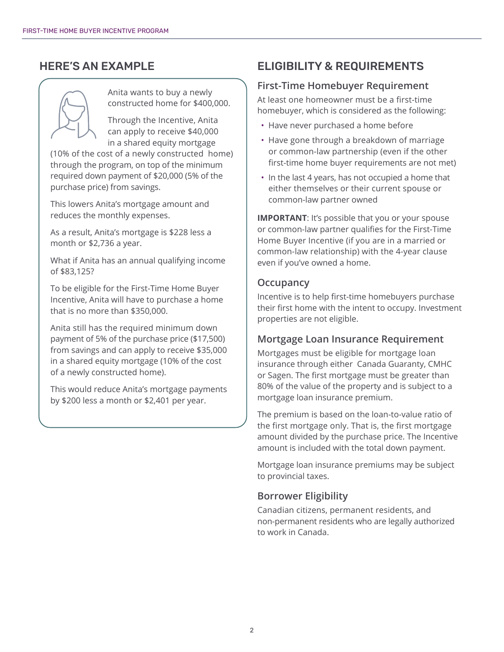## HERE'S AN EXAMPLE



Anita wants to buy a newly constructed home for \$400,000.

Through the Incentive, Anita can apply to receive \$40,000 in a shared equity mortgage

(10% of the cost of a newly constructed home) through the program, on top of the minimum required down payment of \$20,000 (5% of the purchase price) from savings.

This lowers Anita's mortgage amount and reduces the monthly expenses.

As a result, Anita's mortgage is \$228 less a month or \$2,736 a year.

What if Anita has an annual qualifying income of \$83,125?

To be eligible for the First-Time Home Buyer Incentive, Anita will have to purchase a home that is no more than \$350,000.

Anita still has the required minimum down payment of 5% of the purchase price (\$17,500) from savings and can apply to receive \$35,000 in a shared equity mortgage (10% of the cost of a newly constructed home).

This would reduce Anita's mortgage payments by \$200 less a month or \$2,401 per year.

## ELIGIBILITY & REQUIREMENTS

#### **First-Time Homebuyer Requirement**

At least one homeowner must be a first-time homebuyer, which is considered as the following:

- Have never purchased a home before
- Have gone through a breakdown of marriage or common-law partnership (even if the other first-time home buyer requirements are not met)
- In the last 4 years, has not occupied a home that either themselves or their current spouse or common-law partner owned

**IMPORTANT:** It's possible that you or your spouse or common-law partner qualifies for the First-Time Home Buyer Incentive (if you are in a married or common-law relationship) with the 4-year clause even if you've owned a home.

#### **Occupancy**

Incentive is to help first-time homebuyers purchase their first home with the intent to occupy. Investment properties are not eligible.

#### **Mortgage Loan Insurance Requirement**

Mortgages must be eligible for mortgage loan insurance through either Canada Guaranty, CMHC or Sagen. The first mortgage must be greater than 80% of the value of the property and is subject to a mortgage loan insurance premium.

The premium is based on the loan-to-value ratio of the first mortgage only. That is, the first mortgage amount divided by the purchase price. The Incentive amount is included with the total down payment.

Mortgage loan insurance premiums may be subject to provincial taxes.

### **Borrower Eligibility**

Canadian citizens, permanent residents, and non-permanent residents who are legally authorized to work in Canada.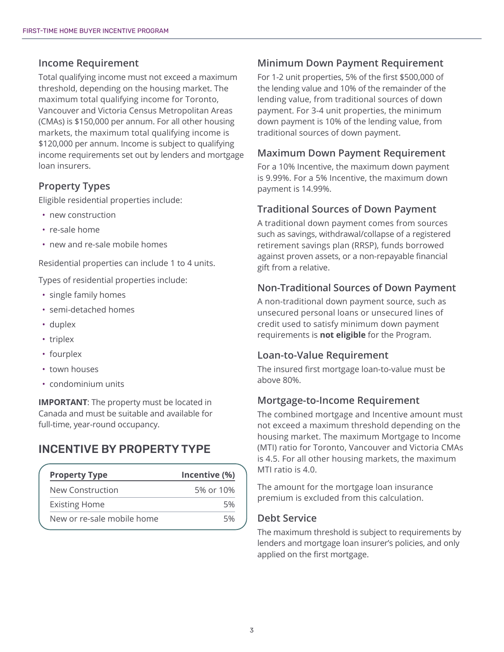#### **Income Requirement**

Total qualifying income must not exceed a maximum threshold, depending on the housing market. The maximum total qualifying income for Toronto, Vancouver and Victoria Census Metropolitan Areas (CMAs) is \$150,000 per annum. For all other housing markets, the maximum total qualifying income is \$120,000 per annum. Income is subject to qualifying income requirements set out by lenders and mortgage loan insurers.

## **Property Types**

Eligible residential properties include:

- new construction
- re-sale home
- new and re-sale mobile homes

Residential properties can include 1 to 4 units.

Types of residential properties include:

- single family homes
- semi-detached homes
- duplex
- triplex
- fourplex
- town houses
- condominium units

**IMPORTANT:** The property must be located in Canada and must be suitable and available for full-time, year-round occupancy.

## INCENTIVE BY PROPERTY TYPE

| <b>Property Type</b>       | Incentive (%) |
|----------------------------|---------------|
| New Construction           | 5% or 10%     |
| <b>Existing Home</b>       | 5%            |
| New or re-sale mobile home | 5%            |
|                            |               |

### **Minimum Down Payment Requirement**

For 1-2 unit properties, 5% of the first \$500,000 of the lending value and 10% of the remainder of the lending value, from traditional sources of down payment. For 3-4 unit properties, the minimum down payment is 10% of the lending value, from traditional sources of down payment.

#### **Maximum Down Payment Requirement**

For a 10% Incentive, the maximum down payment is 9.99%. For a 5% Incentive, the maximum down payment is 14.99%.

#### **Traditional Sources of Down Payment**

A traditional down payment comes from sources such as savings, withdrawal/collapse of a registered retirement savings plan (RRSP), funds borrowed against proven assets, or a non-repayable financial gift from a relative.

#### **Non-Traditional Sources of Down Payment**

A non-traditional down payment source, such as unsecured personal loans or unsecured lines of credit used to satisfy minimum down payment requirements is **not eligible** for the Program.

#### **Loan-to-Value Requirement**

The insured first mortgage loan-to-value must be above 80%.

#### **Mortgage-to-Income Requirement**

The combined mortgage and Incentive amount must not exceed a maximum threshold depending on the housing market. The maximum Mortgage to Income (MTI) ratio for Toronto, Vancouver and Victoria CMAs is 4.5. For all other housing markets, the maximum MTI ratio is 4.0.

The amount for the mortgage loan insurance premium is excluded from this calculation.

#### **Debt Service**

The maximum threshold is subject to requirements by lenders and mortgage loan insurer's policies, and only applied on the first mortgage.